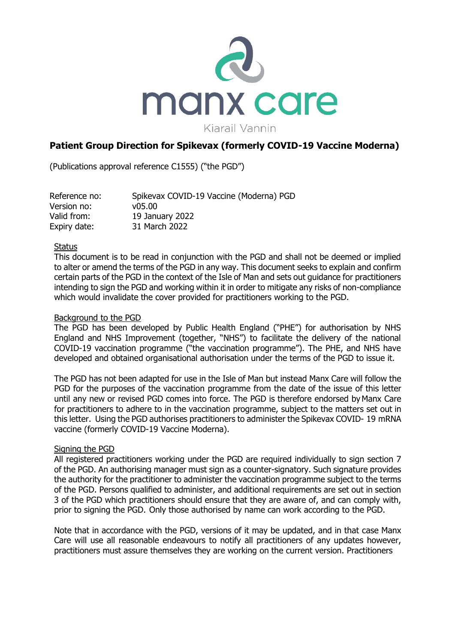

# **Patient Group Direction for Spikevax (formerly COVID-19 Vaccine Moderna)**

(Publications approval reference C1555) ("the PGD")

| Reference no: | Spikevax COVID-19 Vaccine (Moderna) PGD |
|---------------|-----------------------------------------|
| Version no:   | v05.00                                  |
| Valid from:   | 19 January 2022                         |
| Expiry date:  | 31 March 2022                           |

### **Status**

This document is to be read in conjunction with the PGD and shall not be deemed or implied to alter or amend the terms of the PGD in any way. This document seeks to explain and confirm certain parts of the PGD in the context of the Isle of Man and sets out guidance for practitioners intending to sign the PGD and working within it in order to mitigate any risks of non-compliance which would invalidate the cover provided for practitioners working to the PGD.

## Background to the PGD

The PGD has been developed by Public Health England ("PHE") for authorisation by NHS England and NHS Improvement (together, "NHS") to facilitate the delivery of the national COVID-19 vaccination programme ("the vaccination programme"). The PHE, and NHS have developed and obtained organisational authorisation under the terms of the PGD to issue it.

The PGD has not been adapted for use in the Isle of Man but instead Manx Care will follow the PGD for the purposes of the vaccination programme from the date of the issue of this letter until any new or revised PGD comes into force. The PGD is therefore endorsed by Manx Care for practitioners to adhere to in the vaccination programme, subject to the matters set out in this letter. Using the PGD authorises practitioners to administer the Spikevax COVID- 19 mRNA vaccine (formerly COVID-19 Vaccine Moderna).

### Signing the PGD

All registered practitioners working under the PGD are required individually to sign section 7 of the PGD. An authorising manager must sign as a counter-signatory. Such signature provides the authority for the practitioner to administer the vaccination programme subject to the terms of the PGD. Persons qualified to administer, and additional requirements are set out in section 3 of the PGD which practitioners should ensure that they are aware of, and can comply with, prior to signing the PGD. Only those authorised by name can work according to the PGD.

Note that in accordance with the PGD, versions of it may be updated, and in that case Manx Care will use all reasonable endeavours to notify all practitioners of any updates however, practitioners must assure themselves they are working on the current version. Practitioners